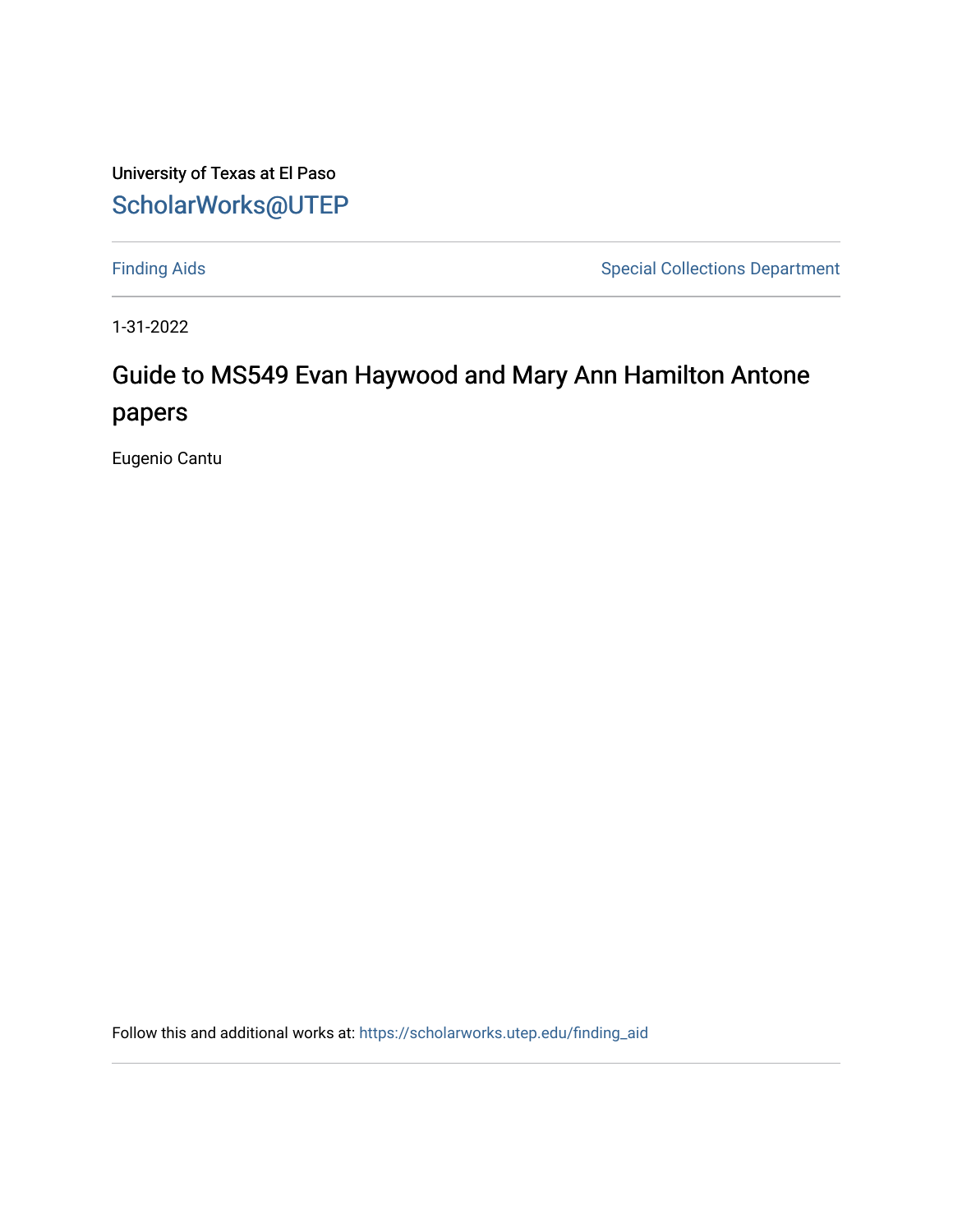University of Texas at El Paso [ScholarWorks@UTEP](https://scholarworks.utep.edu/)

[Finding Aids](https://scholarworks.utep.edu/finding_aid) **Special Collections Department** 

1-31-2022

# Guide to MS549 Evan Haywood and Mary Ann Hamilton Antone papers

Eugenio Cantu

Follow this and additional works at: [https://scholarworks.utep.edu/finding\\_aid](https://scholarworks.utep.edu/finding_aid?utm_source=scholarworks.utep.edu%2Ffinding_aid%2F269&utm_medium=PDF&utm_campaign=PDFCoverPages)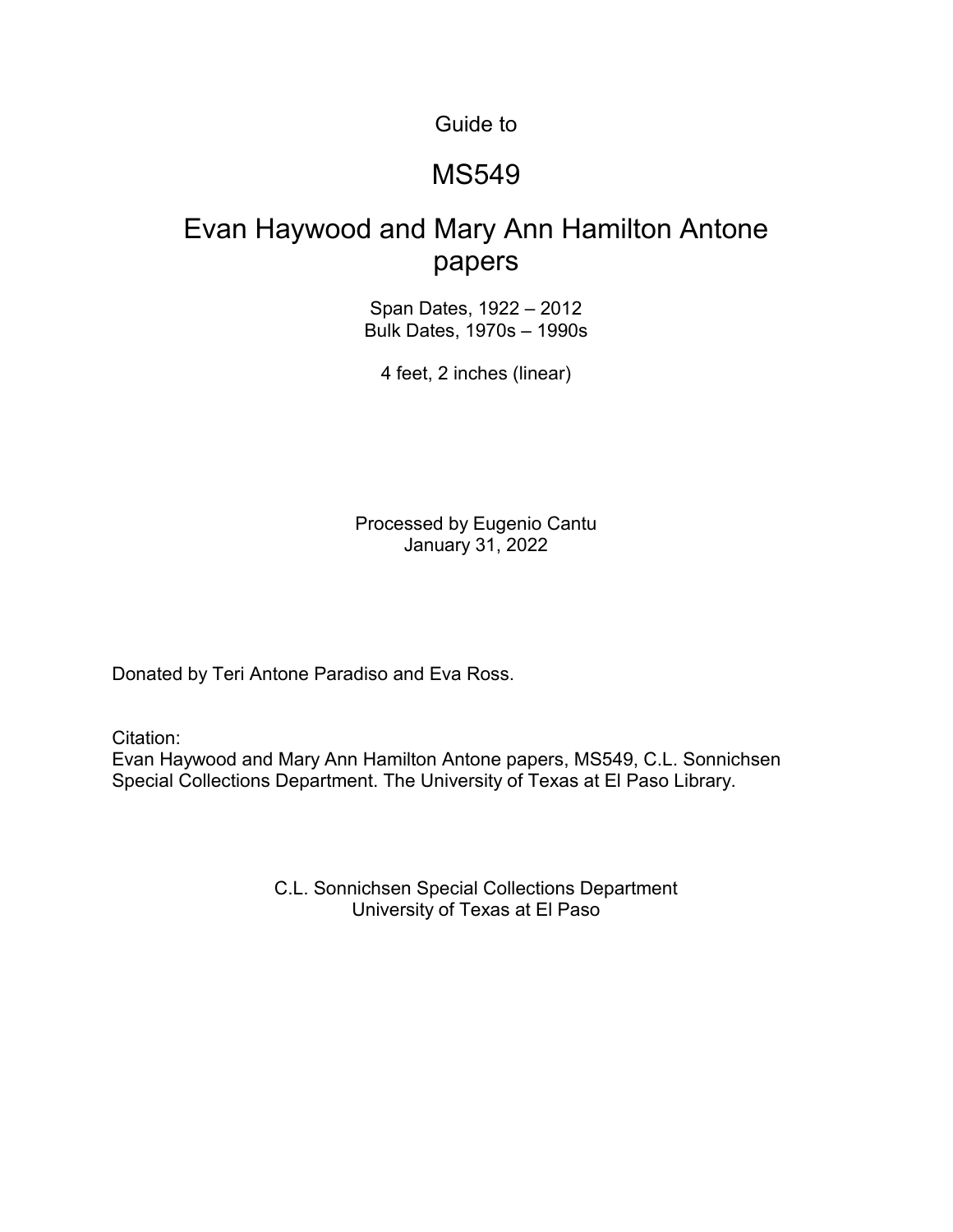Guide to

#### MS549

### Evan Haywood and Mary Ann Hamilton Antone papers

Span Dates, 1922 – 2012 Bulk Dates, 1970s – 1990s

4 feet, 2 inches (linear)

Processed by Eugenio Cantu January 31, 2022

Donated by Teri Antone Paradiso and Eva Ross.

Citation:

Evan Haywood and Mary Ann Hamilton Antone papers, MS549, C.L. Sonnichsen Special Collections Department. The University of Texas at El Paso Library.

> C.L. Sonnichsen Special Collections Department University of Texas at El Paso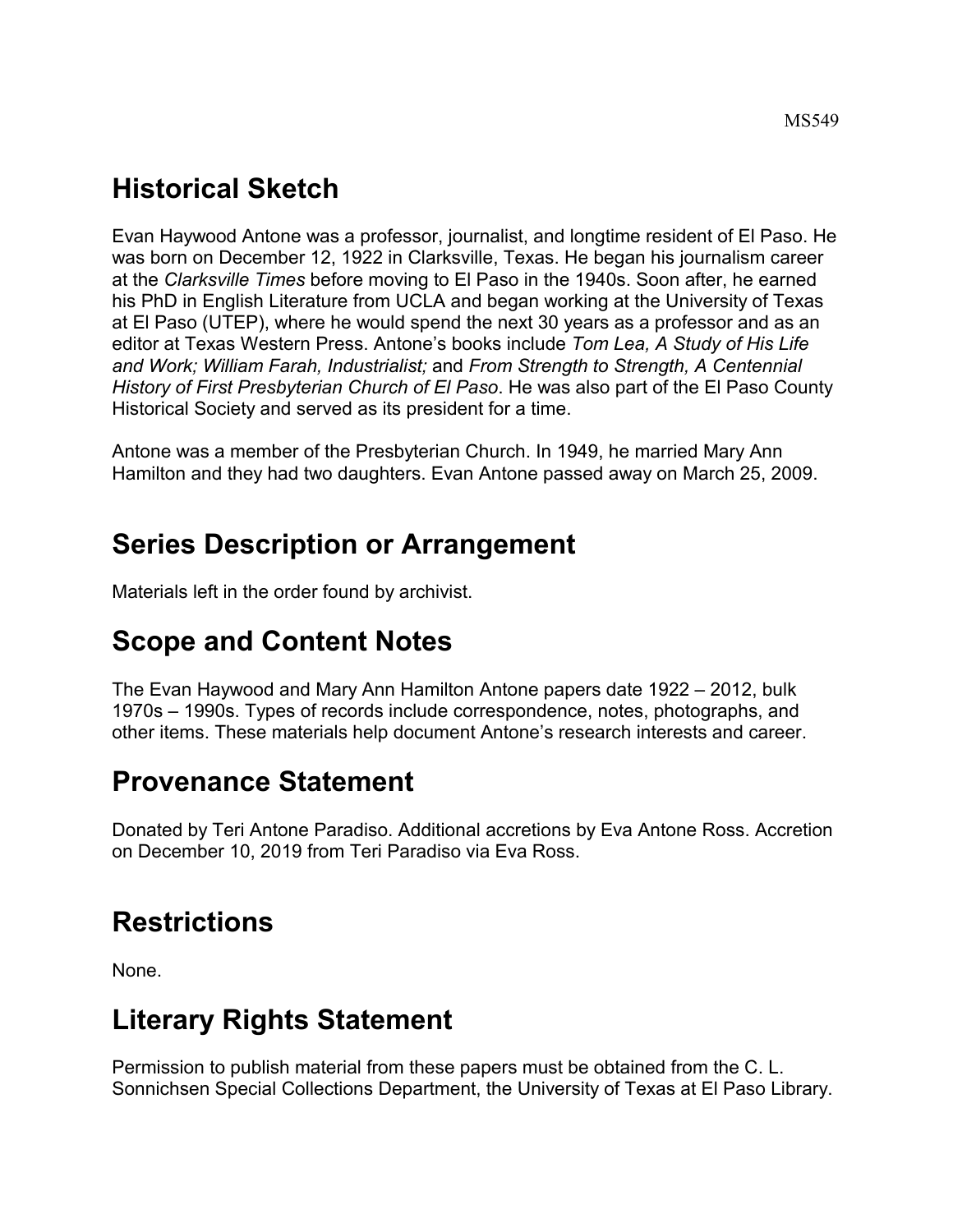# **Historical Sketch**

Evan Haywood Antone was a professor, journalist, and longtime resident of El Paso. He was born on December 12, 1922 in Clarksville, Texas. He began his journalism career at the *Clarksville Times* before moving to El Paso in the 1940s. Soon after, he earned his PhD in English Literature from UCLA and began working at the University of Texas at El Paso (UTEP), where he would spend the next 30 years as a professor and as an editor at Texas Western Press. Antone's books include *Tom Lea, A Study of His Life and Work; William Farah, Industrialist;* and *From Strength to Strength, A Centennial History of First Presbyterian Church of El Paso*. He was also part of the El Paso County Historical Society and served as its president for a time.

Antone was a member of the Presbyterian Church. In 1949, he married Mary Ann Hamilton and they had two daughters. Evan Antone passed away on March 25, 2009.

## **Series Description or Arrangement**

Materials left in the order found by archivist.

## **Scope and Content Notes**

The Evan Haywood and Mary Ann Hamilton Antone papers date 1922 – 2012, bulk 1970s – 1990s. Types of records include correspondence, notes, photographs, and other items. These materials help document Antone's research interests and career.

#### **Provenance Statement**

Donated by Teri Antone Paradiso. Additional accretions by Eva Antone Ross. Accretion on December 10, 2019 from Teri Paradiso via Eva Ross.

# **Restrictions**

None.

# **Literary Rights Statement**

Permission to publish material from these papers must be obtained from the C. L. Sonnichsen Special Collections Department, the University of Texas at El Paso Library.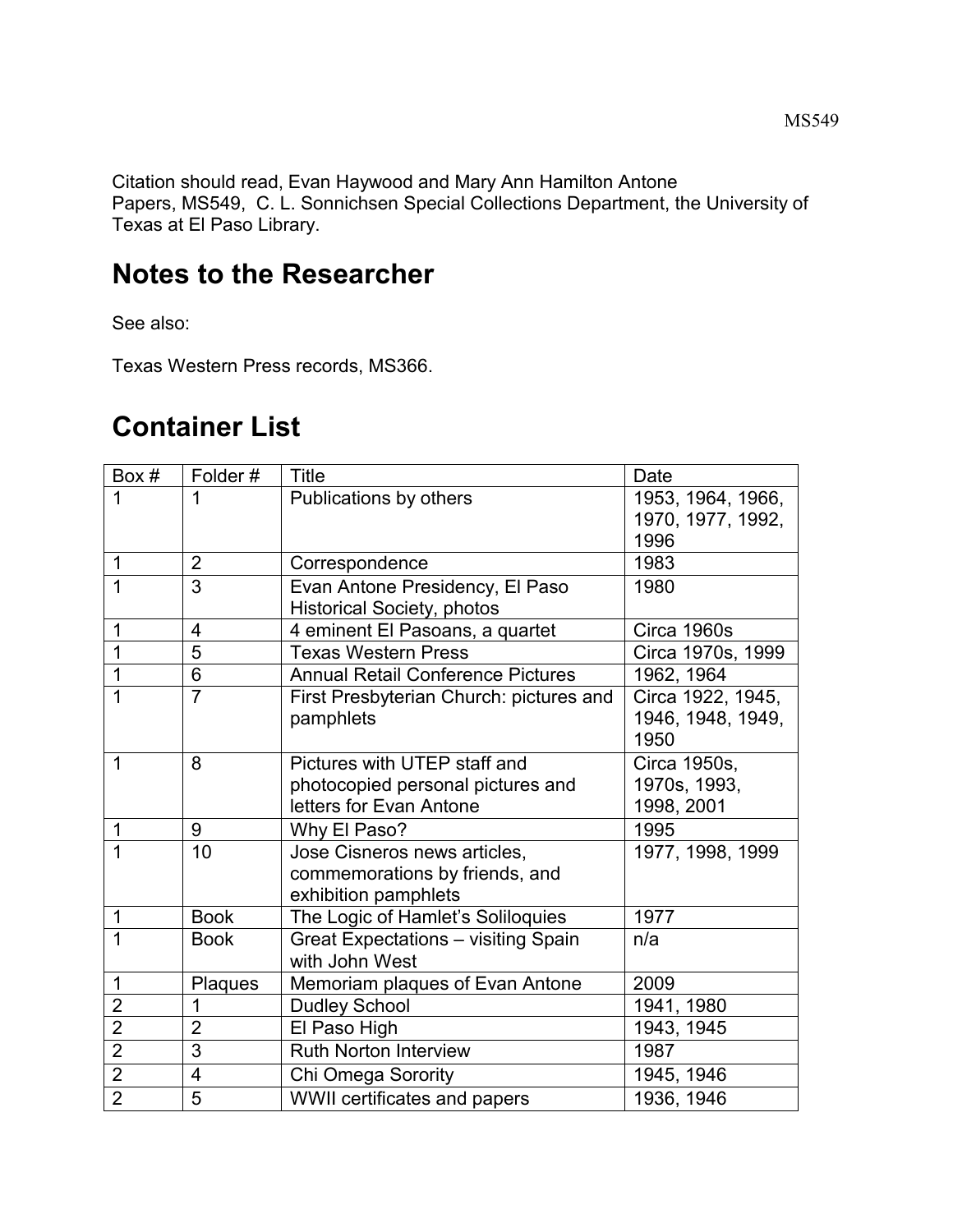Citation should read, Evan Haywood and Mary Ann Hamilton Antone Papers, MS549, C. L. Sonnichsen Special Collections Department, the University of Texas at El Paso Library.

### **Notes to the Researcher**

See also:

Texas Western Press records, MS366.

## **Container List**

| Box#           | Folder#                  | <b>Title</b>                               | Date              |
|----------------|--------------------------|--------------------------------------------|-------------------|
| 1              | 1                        | Publications by others                     | 1953, 1964, 1966, |
|                |                          |                                            | 1970, 1977, 1992, |
|                |                          |                                            | 1996              |
| $\mathbf 1$    | $\overline{2}$           | Correspondence                             | 1983              |
| $\overline{1}$ | $\overline{3}$           | Evan Antone Presidency, El Paso            | 1980              |
|                |                          | <b>Historical Society, photos</b>          |                   |
| 1              | $\overline{4}$           | 4 eminent El Pasoans, a quartet            | Circa 1960s       |
| $\overline{1}$ | $\overline{5}$           | <b>Texas Western Press</b>                 | Circa 1970s, 1999 |
| 1              | 6                        | <b>Annual Retail Conference Pictures</b>   | 1962, 1964        |
| $\overline{1}$ | $\overline{7}$           | First Presbyterian Church: pictures and    | Circa 1922, 1945, |
|                |                          | pamphlets                                  | 1946, 1948, 1949, |
|                |                          |                                            | 1950              |
| $\overline{1}$ | 8                        | Pictures with UTEP staff and               | Circa 1950s,      |
|                |                          | photocopied personal pictures and          | 1970s, 1993,      |
|                |                          | letters for Evan Antone                    | 1998, 2001        |
| $\mathbf 1$    | 9                        | Why El Paso?                               | 1995              |
| 1              | 10                       | Jose Cisneros news articles,               | 1977, 1998, 1999  |
|                |                          | commemorations by friends, and             |                   |
|                |                          | exhibition pamphlets                       |                   |
| $\mathbf 1$    | <b>Book</b>              | The Logic of Hamlet's Soliloquies          | 1977              |
| $\mathbf 1$    | <b>Book</b>              | <b>Great Expectations - visiting Spain</b> | n/a               |
|                |                          | with John West                             |                   |
| $\mathbf 1$    | Plaques                  | Memoriam plaques of Evan Antone            | 2009              |
| $\overline{2}$ | 1                        | <b>Dudley School</b>                       | 1941, 1980        |
| $\overline{2}$ | $\overline{2}$           | El Paso High                               | 1943, 1945        |
| $\overline{2}$ | 3                        | <b>Ruth Norton Interview</b>               | 1987              |
| $\overline{2}$ | $\overline{\mathcal{A}}$ | Chi Omega Sorority                         | 1945, 1946        |
| $\overline{2}$ | 5                        | WWII certificates and papers               | 1936, 1946        |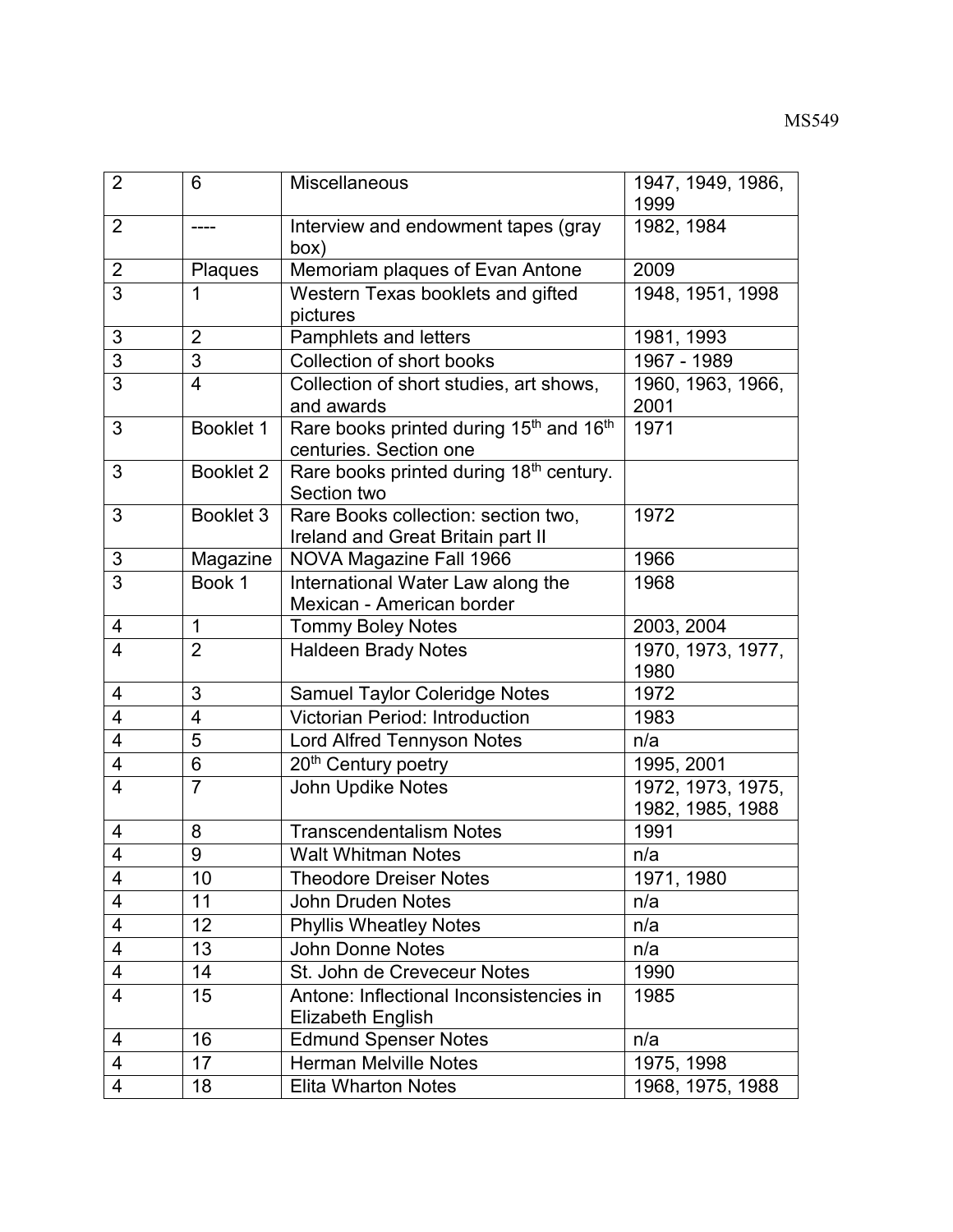| $\overline{2}$          | 6              | <b>Miscellaneous</b>                                                                      | 1947, 1949, 1986,<br>1999             |
|-------------------------|----------------|-------------------------------------------------------------------------------------------|---------------------------------------|
| $\overline{2}$          | ----           | Interview and endowment tapes (gray<br>(box                                               | 1982, 1984                            |
| $\overline{2}$          | Plaques        | Memoriam plaques of Evan Antone                                                           | 2009                                  |
| 3                       | 1              | Western Texas booklets and gifted<br>pictures                                             | 1948, 1951, 1998                      |
| 3                       | $\overline{2}$ | Pamphlets and letters                                                                     | 1981, 1993                            |
| $\overline{3}$          | $\overline{3}$ | Collection of short books                                                                 | 1967 - 1989                           |
| $\overline{3}$          | $\overline{4}$ | Collection of short studies, art shows,<br>and awards                                     | 1960, 1963, 1966,<br>2001             |
| 3                       | Booklet 1      | Rare books printed during 15 <sup>th</sup> and 16 <sup>th</sup><br>centuries. Section one | 1971                                  |
| 3                       | Booklet 2      | Rare books printed during 18 <sup>th</sup> century.<br>Section two                        |                                       |
| 3                       | Booklet 3      | Rare Books collection: section two,<br>Ireland and Great Britain part II                  | 1972                                  |
| 3                       | Magazine       | NOVA Magazine Fall 1966                                                                   | 1966                                  |
| $\overline{3}$          | Book 1         | International Water Law along the<br>Mexican - American border                            | 1968                                  |
| 4                       | $\mathbf{1}$   | <b>Tommy Boley Notes</b>                                                                  | 2003, 2004                            |
| 4                       | $\overline{2}$ | <b>Haldeen Brady Notes</b>                                                                | 1970, 1973, 1977,<br>1980             |
| 4                       | 3              | <b>Samuel Taylor Coleridge Notes</b>                                                      | 1972                                  |
| 4                       | $\overline{4}$ | <b>Victorian Period: Introduction</b>                                                     | 1983                                  |
| $\overline{4}$          | 5              | Lord Alfred Tennyson Notes                                                                | n/a                                   |
| $\overline{4}$          | 6              | 20 <sup>th</sup> Century poetry                                                           | 1995, 2001                            |
| 4                       | $\overline{7}$ | John Updike Notes                                                                         | 1972, 1973, 1975,<br>1982, 1985, 1988 |
| 4                       | 8              | <b>Transcendentalism Notes</b>                                                            | 1991                                  |
| 4                       | 9              | <b>Walt Whitman Notes</b>                                                                 | n/a                                   |
| 4                       | 10             | <b>Theodore Dreiser Notes</b>                                                             | 1971, 1980                            |
| $\overline{\mathbf{4}}$ | 11             | <b>John Druden Notes</b>                                                                  | n/a                                   |
| $\overline{4}$          | 12             | <b>Phyllis Wheatley Notes</b>                                                             | n/a                                   |
| $\overline{\mathbf{4}}$ | 13             | <b>John Donne Notes</b>                                                                   | n/a                                   |
| $\overline{\mathbf{4}}$ | 14             | St. John de Creveceur Notes                                                               | 1990                                  |
| 4                       | 15             | Antone: Inflectional Inconsistencies in<br><b>Elizabeth English</b>                       | 1985                                  |
| 4                       | 16             | <b>Edmund Spenser Notes</b>                                                               | n/a                                   |
| $\overline{4}$          | 17             | <b>Herman Melville Notes</b>                                                              | 1975, 1998                            |
| 4                       | 18             | <b>Elita Wharton Notes</b>                                                                | 1968, 1975, 1988                      |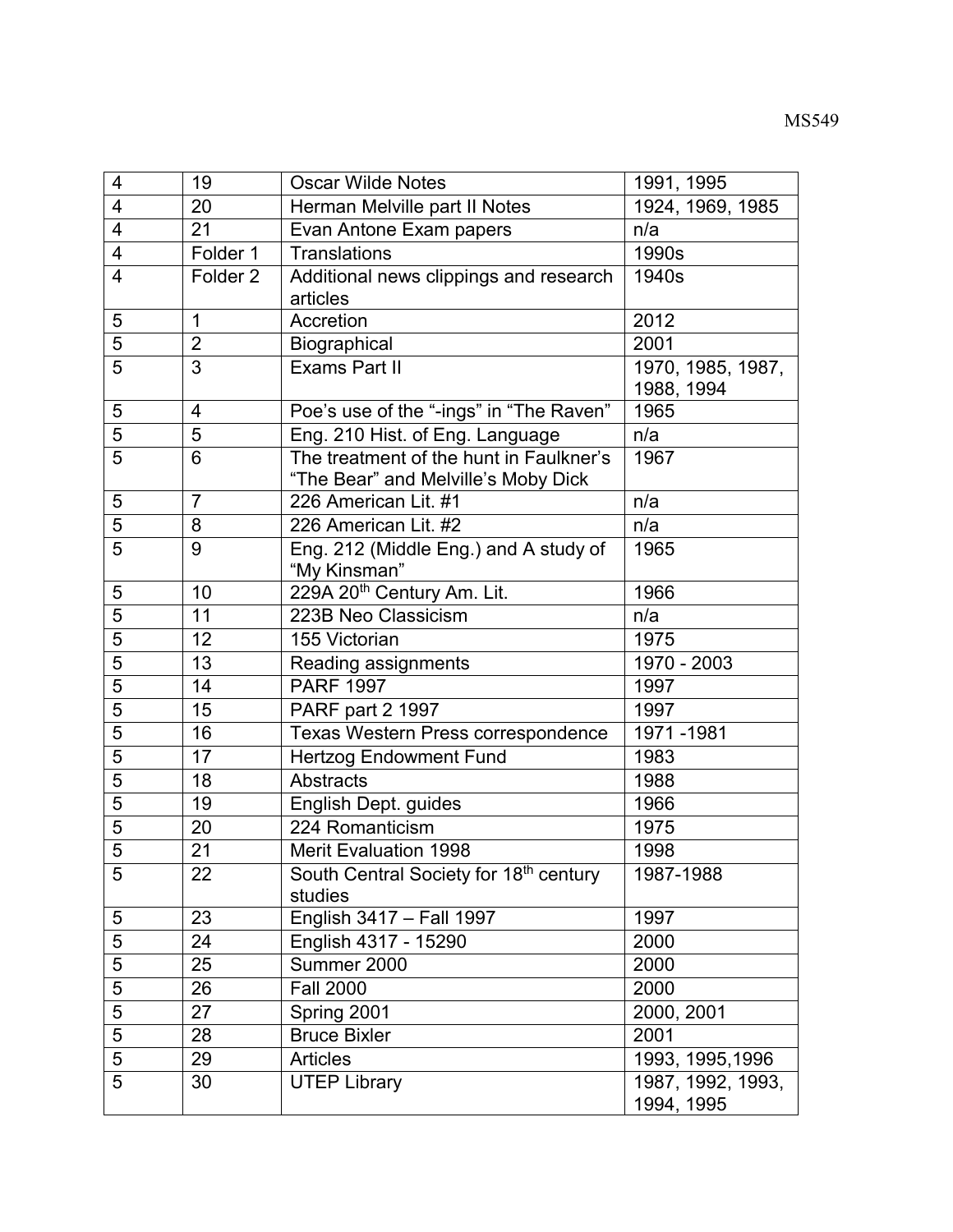| $\overline{4}$ | 19                       | <b>Oscar Wilde Notes</b>                                                       | 1991, 1995                      |
|----------------|--------------------------|--------------------------------------------------------------------------------|---------------------------------|
| $\overline{4}$ | 20                       | Herman Melville part II Notes                                                  | 1924, 1969, 1985                |
| 4              | 21                       | Evan Antone Exam papers                                                        | n/a                             |
| 4              | Folder 1                 | Translations                                                                   | 1990s                           |
| 4              | Folder <sub>2</sub>      | Additional news clippings and research                                         | 1940s                           |
|                |                          | articles                                                                       |                                 |
| 5              | $\mathbf{1}$             | Accretion                                                                      | 2012                            |
| $\overline{5}$ | $\overline{2}$           | Biographical                                                                   | 2001                            |
| 5              | $\overline{3}$           | <b>Exams Part II</b>                                                           | 1970, 1985, 1987,               |
|                |                          |                                                                                | 1988, 1994                      |
| 5              | $\overline{\mathcal{A}}$ | Poe's use of the "-ings" in "The Raven"                                        | 1965                            |
| $\overline{5}$ | 5                        | Eng. 210 Hist. of Eng. Language                                                | n/a                             |
| 5              | 6                        | The treatment of the hunt in Faulkner's<br>"The Bear" and Melville's Moby Dick | 1967                            |
| 5              | $\overline{7}$           | 226 American Lit. #1                                                           | n/a                             |
| 5              | 8                        | 226 American Lit. #2                                                           | n/a                             |
| 5              | 9                        | Eng. 212 (Middle Eng.) and A study of                                          | 1965                            |
|                |                          | "My Kinsman"                                                                   |                                 |
| 5              | 10                       | 229A 20 <sup>th</sup> Century Am. Lit.                                         | 1966                            |
| $\overline{5}$ | 11                       | 223B Neo Classicism                                                            | n/a                             |
| $\overline{5}$ | 12                       | 155 Victorian                                                                  | 1975                            |
| 5              | 13                       | Reading assignments                                                            | 1970 - 2003                     |
| $\overline{5}$ | 14                       | <b>PARF 1997</b>                                                               | 1997                            |
| $\overline{5}$ | 15                       | PARF part 2 1997                                                               | 1997                            |
| 5              | 16                       | Texas Western Press correspondence                                             | 1971-1981                       |
| 5              | 17                       | <b>Hertzog Endowment Fund</b>                                                  | 1983                            |
| 5              | 18                       | <b>Abstracts</b>                                                               | 1988                            |
| 5              | 19                       | English Dept. guides                                                           | 1966                            |
| 5              | 20                       | 224 Romanticism                                                                | 1975                            |
| $\overline{5}$ | 21                       | <b>Merit Evaluation 1998</b>                                                   | 1998                            |
| 5              | 22                       | South Central Society for 18 <sup>th</sup> century                             | 1987-1988                       |
|                |                          | studies                                                                        |                                 |
| 5              | 23                       | English 3417 - Fall 1997                                                       | 1997                            |
| $\overline{5}$ | 24                       | English 4317 - 15290                                                           | 2000                            |
| 5              | 25                       | Summer 2000                                                                    | 2000                            |
| $\overline{5}$ | 26                       | <b>Fall 2000</b>                                                               | 2000                            |
| $\overline{5}$ | 27                       | Spring 2001                                                                    | 2000, 2001                      |
| $\overline{5}$ | 28                       | <b>Bruce Bixler</b>                                                            | 2001                            |
| 5              | 29                       | <b>Articles</b>                                                                | 1993, 1995, 1996                |
| 5              | 30                       | <b>UTEP Library</b>                                                            | 1987, 1992, 1993,<br>1994, 1995 |